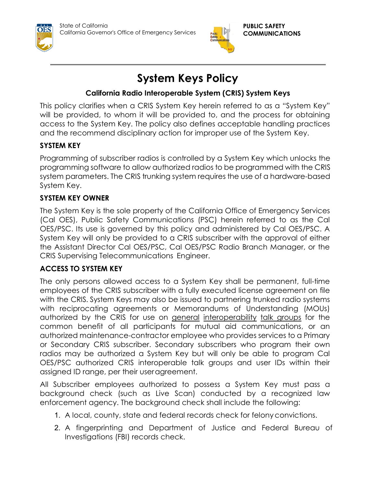



# **System Keys Policy**

## **California Radio Interoperable System (CRIS) System Keys**

This policy clarifies when a CRIS System Key herein referred to as a "System Key" will be provided, to whom it will be provided to, and the process for obtaining access to the System Key. The policy also defines acceptable handling practices and the recommend disciplinary action for improper use of the System Key.

## **SYSTEM KEY**

Programming of subscriber radios is controlled by a System Key which unlocks the programming software to allow authorized radios to be programmed with the CRIS system parameters. The CRIS trunking system requires the use of a hardware-based System Key.

#### **SYSTEM KEY OWNER**

The System Key is the sole property of the California Office of Emergency Services (Cal OES), Public Safety Communications (PSC) herein referred to as the Cal OES/PSC. Its use is governed by this policy and administered by Cal OES/PSC. A System Key will only be provided to a CRIS subscriber with the approval of either the Assistant Director Cal OES/PSC, Cal OES/PSC Radio Branch Manager, or the CRIS Supervising Telecommunications Engineer.

#### **ACCESS TO SYSTEM KEY**

The only persons allowed access to a System Key shall be permanent, full-time employees of the CRIS subscriber with a fully executed license agreement on file with the CRIS. System Keys may also be issued to partnering trunked radio systems with reciprocating agreements or Memorandums of Understanding (MOUs) authorized by the CRIS for use on general interoperability talk groups for the common benefit of all participants for mutual aid communications, or an authorized maintenance-contractor employee who provides services to a Primary or Secondary CRIS subscriber. Secondary subscribers who program their own radios may be authorized a System Key but will only be able to program Cal OES/PSC authorized CRIS interoperable talk groups and user IDs within their assigned ID range, per their useragreement.

All Subscriber employees authorized to possess a System Key must pass a background check (such as Live Scan) conducted by a recognized law enforcement agency. The background check shall include the following:

- 1. A local, county, state and federal records check for felony convictions.
- 2. A fingerprinting and Department of Justice and Federal Bureau of Investigations (FBI) records check.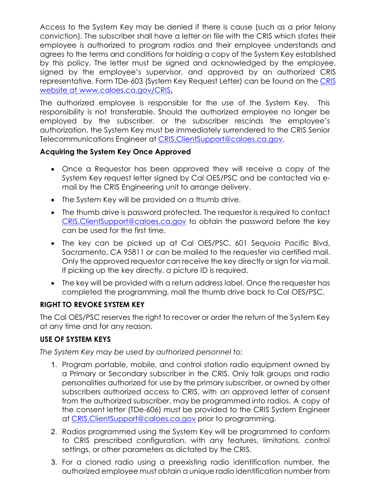Access to the System Key may be denied if there is cause (such as a prior felony conviction). The subscriber shall have a letter on file with the CRIS which states their employee is authorized to program radios and their employee understands and agrees to the terms and conditions for holding a copy of the System Key established by this policy. The letter must be signed and acknowledged by the employee, signed by the employee's supervisor, and approved by an authorized CRIS representative. Form TDe-603 (System Key Request Letter) can be found on the CRIS website at [www.caloes.ca.gov/CRIS](http://www.caloes.ca.gov/CRIS.)**.**

The authorized employee is responsible for the use of the System Key. This responsibility is not transferable. Should the authorized employee no longer be employed by the subscriber, or the subscriber rescinds the employee's authorization, the System Key must be immediately surrendered to the CRIS Senior Telecommunications Engineer at [CRIS.ClientSupport@caloes.ca.gov.](mailto:CRIS.ClientSupport@caloes.ca.gov)

#### **Acquiring the System Key Once Approved**

- Once a Requestor has been approved they will receive a copy of the System Key request letter signed by Cal OES/PSC and be contacted via email by the CRIS Engineering unit to arrange delivery.
- The System Key will be provided on a thumb drive.
- The thumb drive is password protected. The requestor is required to contact [CRIS.ClientSupport@caloes.ca.gov](mailto:CRIS.ClientSupport@caloes.ca.gov) to obtain the password before the key can be used for the first time.
- The key can be picked up at Cal OES/PSC, 601 Sequoia Pacific Blvd, Sacramento, CA 95811 or can be mailed to the requester via certified mail. Only the approved requestor can receive the key directly or sign for via mail. If picking up the key directly, a picture ID is required.
- The key will be provided with a return address label. Once the requester has completed the programming, mail the thumb drive back to Cal OES/PSC.

#### **RIGHT TO REVOKE SYSTEM KEY**

The Cal OES/PSC reserves the right to recover or order the return of the System Key at any time and for any reason.

#### **USE OF SYSTEM KEYS**

*The System Key may be used by authorized personnel to:*

- 1. Program portable, mobile, and control station radio equipment owned by a Primary or Secondary subscriber in the CRIS. Only talk groups and radio personalities authorized for use by the primary subscriber, or owned by other subscribers authorized access to CRIS, with an approved letter of consent from the authorized subscriber, may be programmed into radios. A copy of the consent letter (TDe-606) must be provided to the CRIS System Engineer at [CRIS.ClientSupport@caloes.ca.gov](mailto:CRIS.ClientSupport@caloes.ca.gov) prior to programming.
- 2. Radios programmed using the System Key will be programmed to conform to CRIS prescribed configuration, with any features, limitations, control settings, or other parameters as dictated by the CRIS.
- 3. For a cloned radio using a preexisting radio identification number, the authorized employee must obtain a unique radio identification number from